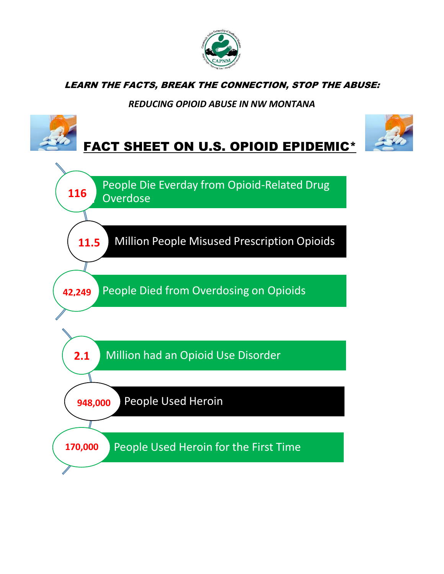

LEARN THE FACTS, BREAK THE CONNECTION, STOP THE ABUSE:

## *REDUCING OPIOID ABUSE IN NW MONTANA*